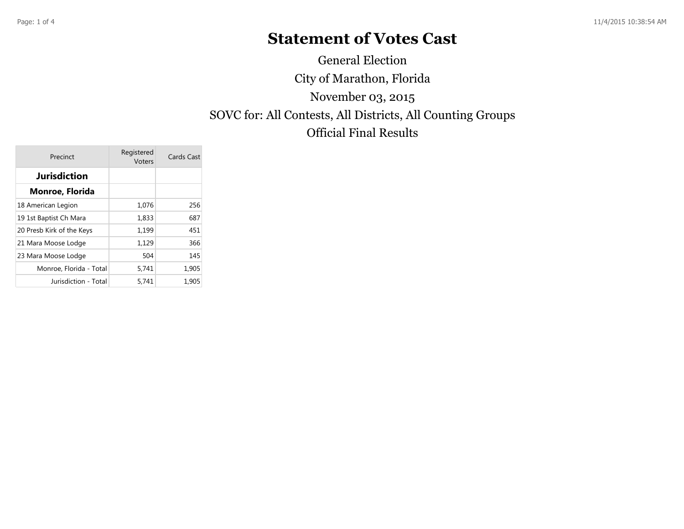## **Statement of Votes Cast**

City of Marathon, Florida SOVC for: All Contests, All Districts, All Counting Groups Official Final Results November 03, 2015 General Election

| Precinct                  | Registered<br>Voters | Cards Cast |  |  |
|---------------------------|----------------------|------------|--|--|
| Jurisdiction              |                      |            |  |  |
| Monroe, Florida           |                      |            |  |  |
| 18 American Legion        | 1,076                | 256        |  |  |
| 19 1st Baptist Ch Mara    | 1,833                | 687        |  |  |
| 20 Presb Kirk of the Keys | 1,199                | 451        |  |  |
| 21 Mara Moose Lodge       | 1,129                | 366        |  |  |
| 23 Mara Moose Lodge       | 504                  | 145        |  |  |
| Monroe, Florida - Total   | 5,741                | 1,905      |  |  |
| Jurisdiction - Total      | 5,741                | 1,905      |  |  |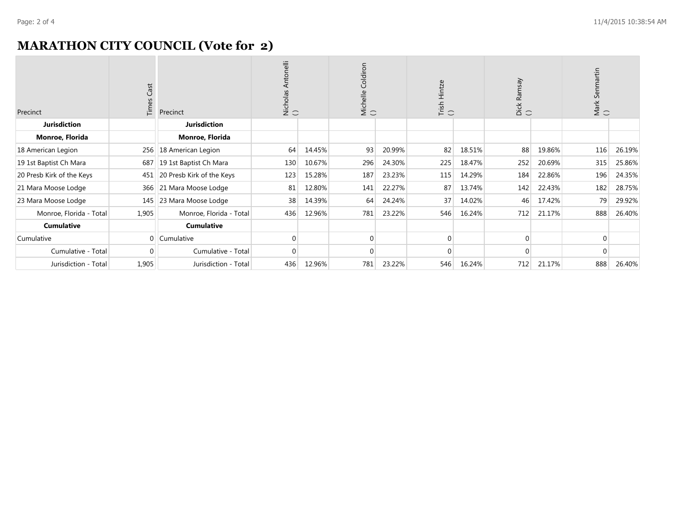## **MARATHON CITY COUNCIL (Vote for 2)**

| Precinct                  | Cast<br>Times | Precinct                  | Antonelli<br>Nicholas<br>() |        | Coldiron<br>Michelle<br>() |        | Trish Hintze<br>( ) |        | Dick Ramsay<br>( ) |        | artin<br>Mark Senma<br>( ) |        |
|---------------------------|---------------|---------------------------|-----------------------------|--------|----------------------------|--------|---------------------|--------|--------------------|--------|----------------------------|--------|
| <b>Jurisdiction</b>       |               | <b>Jurisdiction</b>       |                             |        |                            |        |                     |        |                    |        |                            |        |
| Monroe, Florida           |               | Monroe, Florida           |                             |        |                            |        |                     |        |                    |        |                            |        |
| 18 American Legion        |               | 256   18 American Legion  | 64                          | 14.45% | 93                         | 20.99% | 82                  | 18.51% | 88                 | 19.86% | 116                        | 26.19% |
| 19 1st Baptist Ch Mara    | 687           | 19 1st Baptist Ch Mara    | 130                         | 10.67% | 296                        | 24.30% | 225                 | 18.47% | 252                | 20.69% | 315                        | 25.86% |
| 20 Presb Kirk of the Keys | 451           | 20 Presb Kirk of the Keys | 123                         | 15.28% | 187                        | 23.23% | 115                 | 14.29% | 184                | 22.86% | 196                        | 24.35% |
| 21 Mara Moose Lodge       | 366           | 21 Mara Moose Lodge       | 81                          | 12.80% | 141                        | 22.27% | 87                  | 13.74% | 142                | 22.43% | 182                        | 28.75% |
| 23 Mara Moose Lodge       | 145           | 23 Mara Moose Lodge       | 38                          | 14.39% | 64                         | 24.24% | 37                  | 14.02% | 46                 | 17.42% | 79                         | 29.92% |
| Monroe, Florida - Total   | 1,905         | Monroe, Florida - Total   | 436                         | 12.96% | 781                        | 23.22% | 546                 | 16.24% | 712                | 21.17% | 888                        | 26.40% |
| <b>Cumulative</b>         |               | <b>Cumulative</b>         |                             |        |                            |        |                     |        |                    |        |                            |        |
| Cumulative                | $\mathbf{0}$  | Cumulative                |                             |        | $\mathbf 0$                |        | 0                   |        | 0                  |        | $\mathbf 0$                |        |
| Cumulative - Total        | $\Omega$      | Cumulative - Total        |                             |        | $\Omega$                   |        | 0                   |        | $\Omega$           |        | $\Omega$                   |        |
| Jurisdiction - Total      | 1,905         | Jurisdiction - Total      | 436                         | 12.96% | 781                        | 23.22% | 546                 | 16.24% | 712                | 21.17% | 888                        | 26.40% |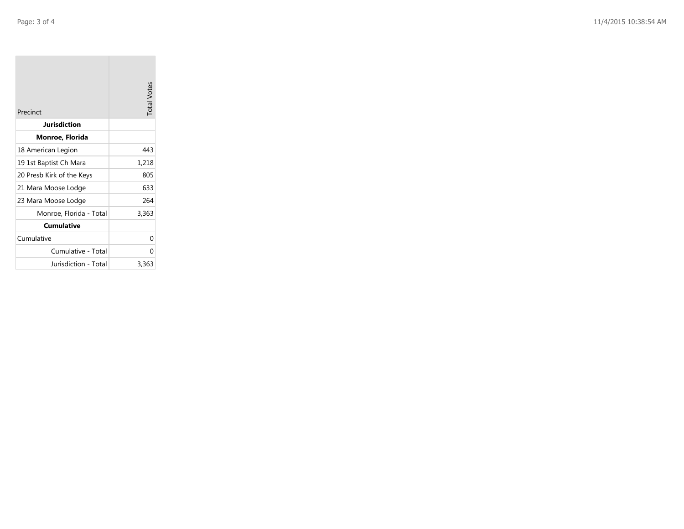| Precinct                  | <b>Total Votes</b> |
|---------------------------|--------------------|
| <b>Jurisdiction</b>       |                    |
| Monroe, Florida           |                    |
| 18 American Legion        | 443                |
| 19 1st Baptist Ch Mara    | 1,218              |
| 20 Presb Kirk of the Keys | 805                |
| 21 Mara Moose Lodge       | 633                |
| 23 Mara Moose Lodge       | 264                |
| Monroe, Florida - Total   | 3,363              |
| Cumulative                |                    |
| Cumulative                | 0                  |
| Cumulative - Total        | 0                  |
| Jurisdiction - Total      | 3,363              |

the company of the company